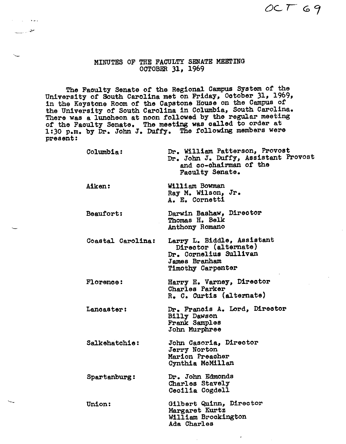OCT 69

## MINUTES OF THE FACULTY SENATE MEETING OCTOBER 31, 1969

 $\mathbf{r} = \mathbf{r}_1 \mathbf{r}_2 \mathbf{r}_3$  . As we a

سی سنست

The Faculty Senate or the Regional Campus System or the University or South Carolina met on Friday, October 31, 1969, in the Keystone Room or the Capstone House on the Campus or the University or South Carolina in Columbia, South Carolina. There was a luncheon at noon followed by the regular meeting or the Faculty Senate. The **meeting was** called to order at 1:30 p.m. by Dr. John J. Duffy. The following members were present:

| Columbia:         | Dr. William Patterson, Provost<br>Dr. John J. Duffy, Assistant Provost<br>and co-chairman of the<br>Faculty Senate. |
|-------------------|---------------------------------------------------------------------------------------------------------------------|
| Aiken:            | William Bowman<br>Ray M. Wilson, Jr.<br>A. E. Cornetti                                                              |
| Beaufort:         | Darwin Bashaw, Director<br>Thomas H. Belk<br>Anthony Romano                                                         |
| Coastal Carolina: | Larry L. Biddle, Assistant<br>Director (alternate)<br>Dr. Cornelius Sullivan<br>James Branham<br>Timothy Carpenter  |
| <b>Florence:</b>  | Harry E. Varney, Director<br>Charles Parker<br>R. C. Curtis (alternate)                                             |
| Lancaster:        | Dr. Francis A. Lord, Director<br><b>Billy Dawson</b><br>Frank Samples<br>John Murphree                              |
| Salkehatchie:     | John Casoria, Director<br>Jerry Norton<br>Marion Preacher<br>Cynthia McMillan                                       |
| Spartanburg:      | Dr. John Edmonds<br>Charles Stavely<br>Cecilia Cogdell                                                              |

Union: Gilbert Quinn, Director Margaret Kurtz William Brockington Ada Charles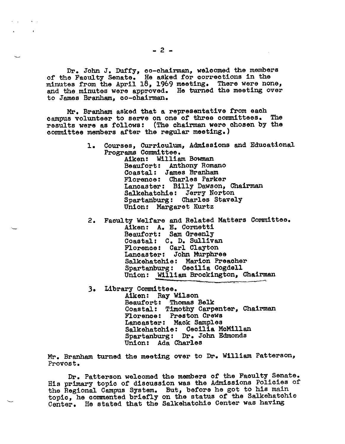Dr. John J. Duffy, co-chairman, welcomed the members of the Faculty Senate. He asked for corrections in the minutes from the April 18, 1969 meeting. There were none, and the minutes were approved. He turned the meeting over to James Branham, co-chairman.

Mr. Branham asked that a representative from each campus volunteer to serve on one of three committees. The results were as follows: (The chairman were chosen by the committee members after the regular meeting.)

- 1. Courses, Curriculum, Admissions and Educational Programs Committee. Aiken: William Bowman Beaufort: Anthony Romano Coastal: James Branham Florence: Charles Parker Lancaster: Billy Dawson, Chairman Salkehatchie: Jerry Norton Spartanburg: Charles Stavely Union: Margaret Kurtz
- 2. Faculty Welfare and Related Matters Committee. Aiken: A. E. Cornetti Beaufort: Sam Greenly<br>Coastal: C. D. Sullivan Florence: Carl Clayton Lancaster: John Murphree Salkehatchie: Marion Preacher Union: William Brockington, Chairman
- J. Library Committee. Aiken: Ray Wilson Beaufort: Thomas Belk Coastal: Timothy Carpenter, Chairman Florence: Preston Crews<br>Lancaster: Mack Samples Lancaster: Mack Samples<br>Salkehatchie: Cecilia McMillan Spartanburg: Dr. John Edmonds Union: Ada Charles

Mr. Branham turned the meeting over to Dr. William Patterson, Provost.

Dr. Patterson welcomed the members of the Faculty Senate. His primary topic of discussion was the Admissions Policies of the Regional Campus System. But, before he got to his main topic, he commented briefly on the status of the Salkehatchie Center. He stated that the Salkehatchie Center was having

**Contract Contract**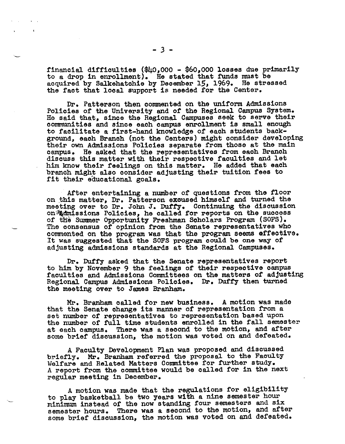financial difficulties (\$40,000 - \$60,000 losses due primarily to a drop in enrollment). He stated that funds must be acquired by Salkehatchie by December 15, 1969. He stressed the fact that local support is needed for the Center.

Dr. Patterson then commented on the uniform Admissions Policies of the University and of the Regional Campus System. He said that, since the Regional Campuses seek to serve their communities and since each campus enrollment is small enough to facilitate a first-hand knowledge of each students background, each Branch (not the Centers) might consider developing their own Admissions Policies separate from those at the main campus. He asked that the representatives from each Branch discuss this matter with their respective faculties and let him know their feelings on this matter. He added that each branch might also consider adjusting their tuition fees to fit their educational goals.

After entertaining a number of questions from the floor on .this matter, Dr. Patterson excused himself and turned the meeting over to Dr. John J. Duf'fy. Continuing the discussion on Admissions Policies, he called for reports on the success of the Summer Opportunity Freshman Scholars Program (SOFS). The consensus of opinion from the Senate representatives who commented on the program was that the program seems effective. It was suggested that the SOFS program could be one way of adjusting admissions standards at the Regional Campuses.

Dr. Duffy asked that the Senate representatives report to him by November 9 the feelings of their respective campus faculties and Admissions Committees on the matters of adjusting Regional Campus Admissions Policies. Dr. Duffy then turned the meeting over to James Branham.

Mr. Branham called for new business. A motion was made that the Senate change its manner of representation from a set number of representatives to representation based upon the number of full time students enrolled in the fall semester at each campus. There was a second to the motion, and after some brief discussion, the motion was voted on and defeated.

A Faculty Development Plan was proposed and discussed<br>briefly. Mr. Branham referred the proposal to the Faculty Welfare and Related Matters Committee for further study.<br>A report from the committee would be called for in the next regular meeting in December.

A motion was made that the regulations for eligibility to play basketball be two years with a nine semester hour minimum instead of the now standing four semesters and six semester hours. There was a second to the motion, and after some brief discussion, the motion was voted on and defeated.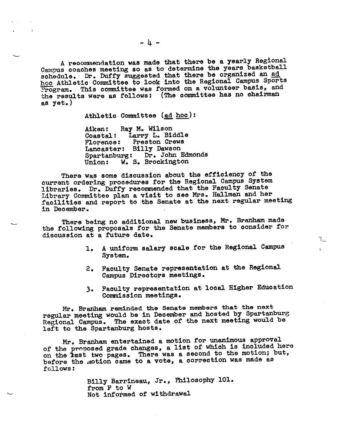A recommendation was made that there be a yearly Regional Campus coaches meeting so as to determine the years basketball schedule. Dr. Duffy suggested that there be organized an ad. hoc Athletic Committee to look into the Regional Campus Sports Program. This committee was formed on a volunteer basis, and the results were as follows: (The committee has no chairman as yet.)

Athletic Committee (ad hoc):

Aiken: Ray M. Wilson<br>Coastal: Larry L. Bio Larry L. Biddle Florence: Preston Crews Lancaster: Billy Dawson Spartanburg: Dr. John Edmonds<br>Union: W. S. Brockington W. S. Brockington

There was some discussion about the efficiency of the current ordering procedures for the Regional Campus System libraries. Dr. Duffy reconnnended that the Faculty Senate Library Committee plan a visit to see Mrs. Hallman and her facilities and report to the Senate at the next regular meeting in December.

There being no additional new business, Mr. Branham made the following proposals for the Senate members to consider for discussion at a future date.

> 1. A uniform salary scale for the Regional Campus System.

1

- 2. Faculty Senate representation at the Regional Campus Directors meetings.
- 3. Faculty representation at local Higher Education Connnission meetings.

Mr. Brallham reminded the Senate members that the next regular meeting would be in December and hosted by Spartanburg Regional Campus. The exact date of the next meeting would be left to the Spartanburg hosts.

Mr. Branham entertained a motion for unanimous approva<sup>l</sup> of the proposed grade changes, a list of which is included here on the *iast* two pages. There was a second to the motion; but, before the motion came to a vote, a correction was made as follows:

> Billy Barrineau, Jr., Philosophy 101. from F to W Not informed of withdrawal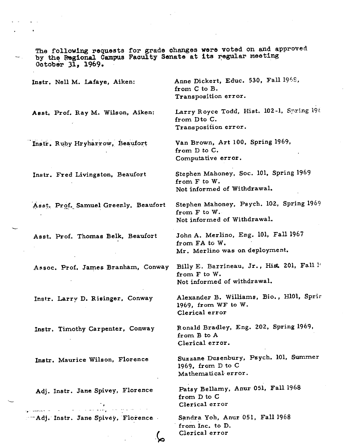The following requests for grade changes **were** voted on and approve<sup>d</sup> by the Regional Campus Faculty Senate at its regular meeting October 31, 1969. · Anne Dickert, Educ. 530, Fall 1968, Instr, Nell M. Lafaye, Aiken: from C to B. Transposition error. Larry Royce Todd, Hist. 102-1, Spring 19 $\ell$ **Asst,** Prof. Ray M, Wilson, Aiken: from Dto C. Transposition error. Van Brown, Art 100, Spring 1969, Instr. Ruby Hryharrow, Beaufort from D to C. Computative error. Stephen Mahoney, Soc. 101, Spring <sup>1969</sup> Instr. Fred Livingston, Beaufort from F to W. Not informed of Withdrawal. Asst. Prof. Samuel Greenly. Beaufort Stephen Mahoney. Psych. 102, Spring 1969 from F to W. Not informed of Withdrawal. John A. Merlino, Eng. 101, Fall 1967 Asst. Prof. Thomas Belk, Beaufort from FA to W. Mr. Merlino was on deployment. Assoc. Prof, **James** Branham, Conway Billy E. Barrineau, Jr., Hist. 201, Fall l' from F to W. Not informed of withdrawal. Alexander B. Williams, Bio., Hl0l, Sprir Instr. Larry D. Risinger, Conway 1969, from WF to W. Clerical error Ronald Bradley, Eng. 202, Spring 1969, Instr, Timothy Carpenter, Conway from B to A Clerical error. Suzzane Dusenbury, Psych. 101, Summer Instr. Maurice Wilson, Florence 1969, from D to C Mathematical error. Patsy Bellamy, Anur 051, Fall <sup>1968</sup> Adj. Instr. Jane Spivey, Florence from D to C Clerical error  $\mathcal{L}_{\mathcal{A}}$  and  $\mathcal{A}$  is a probability of  $\mathcal{A}$  ,  $\mathcal{A}$ المطالبة المستقل المتارية التي المستقل المستقلة المهورة المستقلة المناسبة المستقلة المناسبة المستقلة ··· Adj. Instr. Jane Spivey, Florence Sandra Yoh, Anur 051, Fall 1968 from Inc. to D. Clerical error